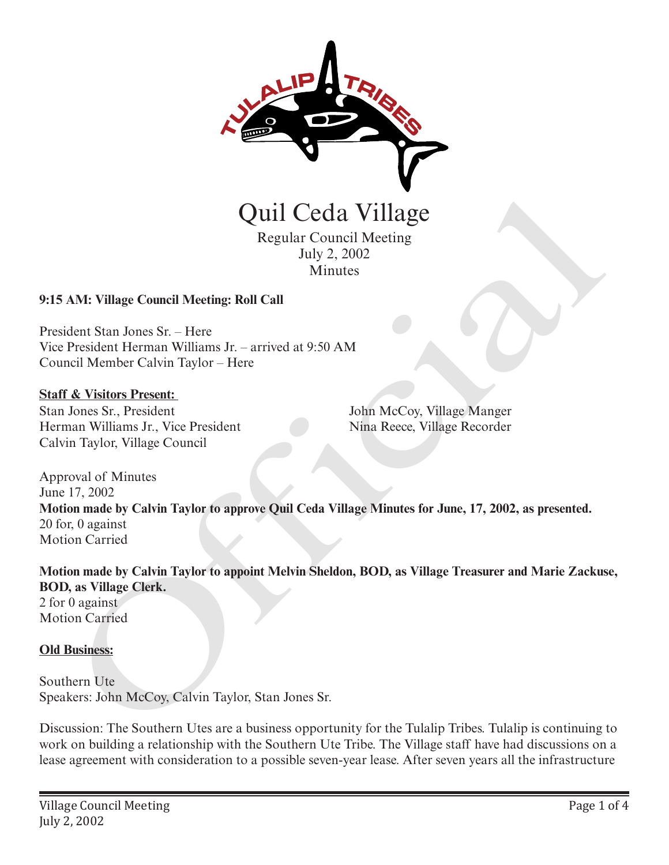

Quil Ceda Village

Regular Council Meeting July 2, 2002 Minutes

### **9:15 AM: Village Council Meeting: Roll Call**

President Stan Jones Sr. – Here Vice President Herman Williams Jr. – arrived at 9:50 AM Council Member Calvin Taylor – Here

#### **Staff & Visitors Present:**

Stan Jones Sr., President Herman Williams Jr., Vice President Calvin Taylor, Village Council

John McCoy, Village Manger Nina Reece, Village Recorder

Approval of Minutes June 17, 2002 **Motion made by Calvin Taylor to approve Quil Ceda Village Minutes for June, 17, 2002, as presented.** 20 for, 0 against Motion Carried **CHATE CONTROVIDE CONTROVIDED**<br>
Regular Council Meeting<br>
Iuly 2, 2002<br>
Minutes<br>
AM: Village Council Meeting: Roll Call<br>
dent Stan Jones Sr. Here<br>
President Herman Williams Jr. – arrived at 9:50 AM<br>
recover Mainten Calvin T

**Motion made by Calvin Taylor to appoint Melvin Sheldon, BOD, as Village Treasurer and Marie Zackuse, BOD, as Village Clerk.**

2 for 0 against Motion Carried

### **Old Business:**

Southern Ute Speakers: John McCoy, Calvin Taylor, Stan Jones Sr.

Discussion: The Southern Utes are a business opportunity for the Tulalip Tribes. Tulalip is continuing to work on building a relationship with the Southern Ute Tribe. The Village staff have had discussions on a lease agreement with consideration to a possible seven-year lease. After seven years all the infrastructure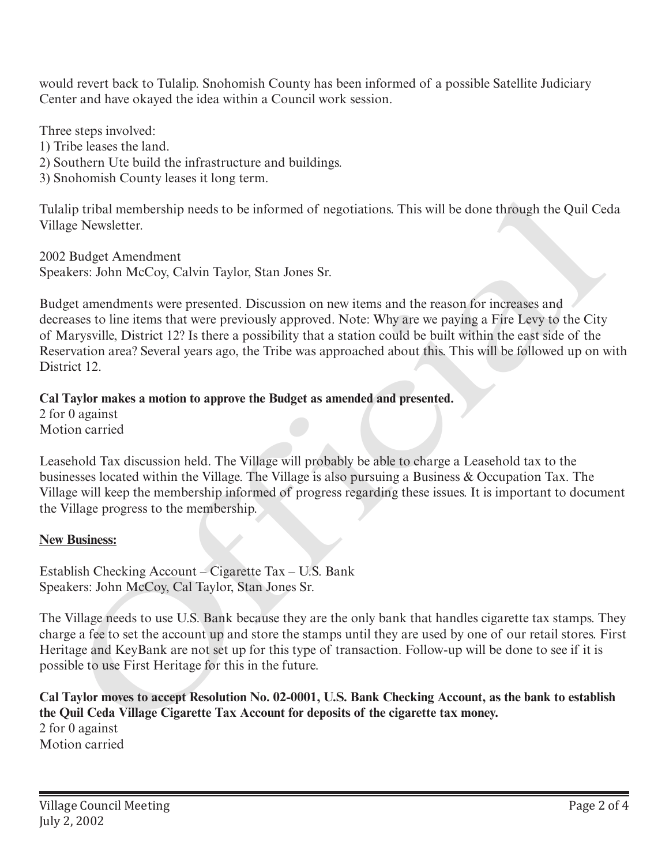would revert back to Tulalip. Snohomish County has been informed of a possible Satellite Judiciary Center and have okayed the idea within a Council work session.

Three steps involved:

1) Tribe leases the land.

2) Southern Ute build the infrastructure and buildings.

3) Snohomish County leases it long term.

Tulalip tribal membership needs to be informed of negotiations. This will be done through the Quil Ceda Village Newsletter.

2002 Budget Amendment Speakers: John McCoy, Calvin Taylor, Stan Jones Sr.

Budget amendments were presented. Discussion on new items and the reason for increases and decreases to line items that were previously approved. Note: Why are we paying a Fire Levy to the City of Marysville, District 12? Is there a possibility that a station could be built within the east side of the Reservation area? Several years ago, the Tribe was approached about this. This will be followed up on with District 12. lip tribal membership needs to be informed of negotiations. This will be done through the Quil Ce<br>
Rugget Amendment<br>
Budget Amendment<br>
Budget Amendment<br>
Rugget Amendment<br>
Rers: John McCoy, Calvin Taylor, Stan Jones Sr.<br>
te

# **Cal Taylor makes a motion to approve the Budget as amended and presented.**

2 for 0 against Motion carried

Leasehold Tax discussion held. The Village will probably be able to charge a Leasehold tax to the businesses located within the Village. The Village is also pursuing a Business & Occupation Tax. The Village will keep the membership informed of progress regarding these issues. It is important to document the Village progress to the membership.

# **New Business:**

Establish Checking Account – Cigarette Tax – U.S. Bank Speakers: John McCoy, Cal Taylor, Stan Jones Sr.

The Village needs to use U.S. Bank because they are the only bank that handles cigarette tax stamps. They charge a fee to set the account up and store the stamps until they are used by one of our retail stores. First Heritage and KeyBank are not set up for this type of transaction. Follow-up will be done to see if it is possible to use First Heritage for this in the future.

**Cal Taylor moves to accept Resolution No. 02-0001, U.S. Bank Checking Account, as the bank to establish the Quil Ceda Village Cigarette Tax Account for deposits of the cigarette tax money.**  2 for 0 against

Motion carried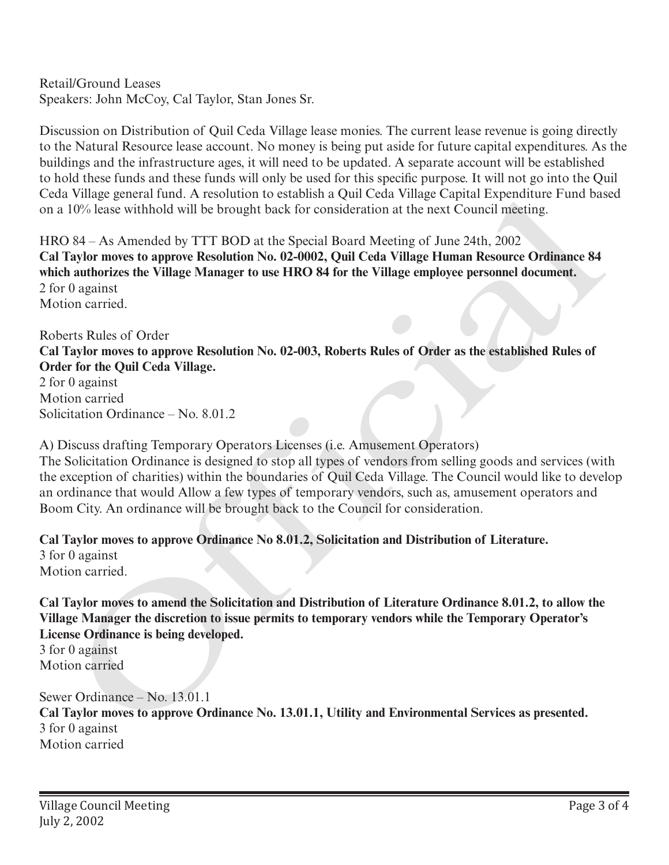Retail/Ground Leases Speakers: John McCoy, Cal Taylor, Stan Jones Sr.

Discussion on Distribution of Quil Ceda Village lease monies. The current lease revenue is going directly to the Natural Resource lease account. No money is being put aside for future capital expenditures. As the buildings and the infrastructure ages, it will need to be updated. A separate account will be established to hold these funds and these funds will only be used for this specific purpose. It will not go into the Quil Ceda Village general fund. A resolution to establish a Quil Ceda Village Capital Expenditure Fund based on a 10% lease withhold will be brought back for consideration at the next Council meeting.

HRO 84 – As Amended by TTT BOD at the Special Board Meeting of June 24th, 2002 **Cal Taylor moves to approve Resolution No. 02-0002, Quil Ceda Village Human Resource Ordinance 84 which authorizes the Village Manager to use HRO 84 for the Village employee personnel document.** 2 for 0 against Motion carried.

Roberts Rules of Order **Cal Taylor moves to approve Resolution No. 02-003, Roberts Rules of Order as the established Rules of Order for the Quil Ceda Village.**

2 for 0 against Motion carried Solicitation Ordinance – No. 8.01.2

A) Discuss drafting Temporary Operators Licenses (i.e. Amusement Operators) The Solicitation Ordinance is designed to stop all types of vendors from selling goods and services (with the exception of charities) within the boundaries of Quil Ceda Village. The Council would like to develop an ordinance that would Allow a few types of temporary vendors, such as, amusement operators and Boom City. An ordinance will be brought back to the Council for consideration. Village genera tune. A resolution to establish a Quiu cean village Capital respective<br>
TO% lease withhold will be brought back for consideration at the next Council meeting.<br>
10% lease withhold will be brought back for co

**Cal Taylor moves to approve Ordinance No 8.01.2, Solicitation and Distribution of Literature.** 3 for 0 against Motion carried.

**Cal Taylor moves to amend the Solicitation and Distribution of Literature Ordinance 8.01.2, to allow the Village Manager the discretion to issue permits to temporary vendors while the Temporary Operator's License Ordinance is being developed.**

3 for 0 against Motion carried

Sewer Ordinance – No. 13.01.1 **Cal Taylor moves to approve Ordinance No. 13.01.1, Utility and Environmental Services as presented.** 3 for 0 against Motion carried